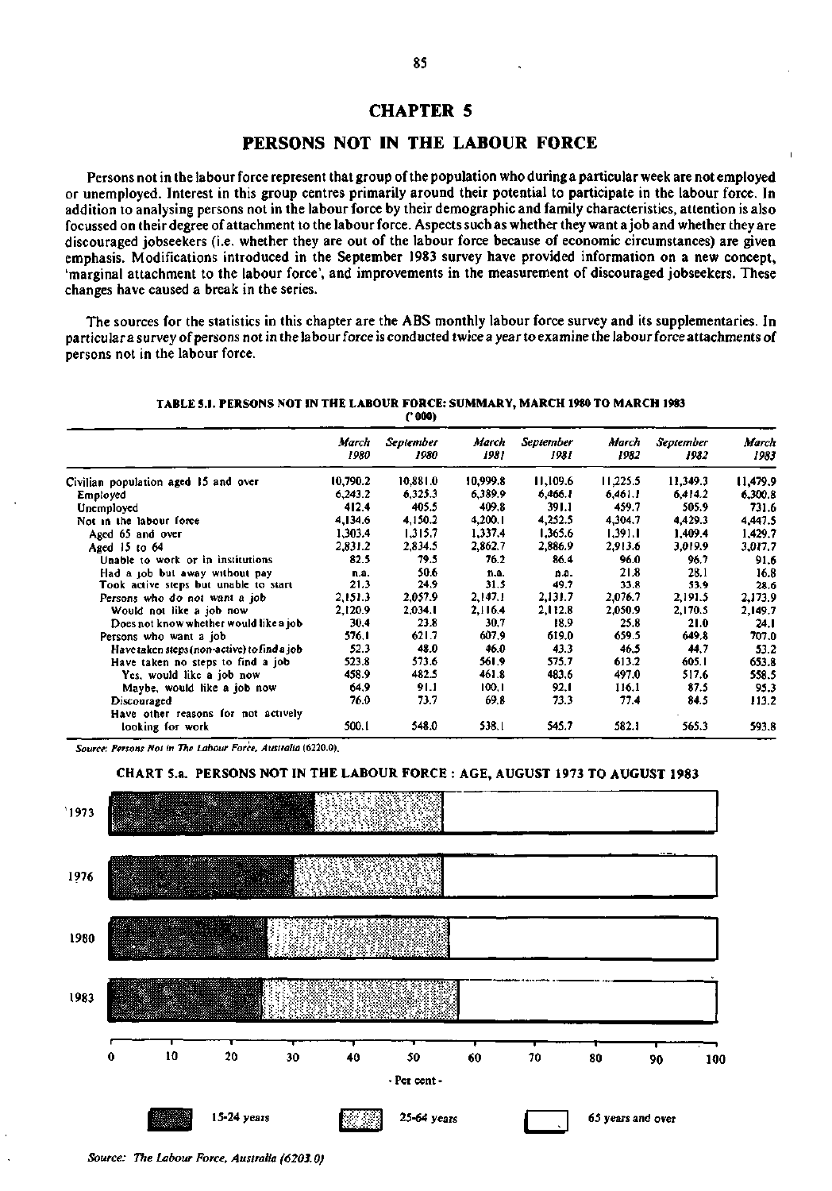# **CHAPTER 5**

## **PERSONS NOT IN THE LABOUR FORCE**

Persons not in the labour force represent that group of the population who during a particular week are not employed or unemployed. Interest in this group centres primarily around their potential to participate in the labour force. In addition to analysing persons not in the labour force by their demographic and family characteristics, attention is also focussed on their degree of attachment to the labourforce. Aspects such as whether they want ajob and whether they are discouraged jobseekers (i.e. whether they are out of the labour force because of economic circumstances) are given emphasis. Modifications introduced in the September 1983 survey have provided information on a new concept, 'marginal attachment to the labour force', and improvements in the measurement of discouraged jobseekers. These changes have caused a break in the series.

The sources for the statistics in this chapter are the ABS monthly labour force survey and its supplementaries. In particular a survey of persons not in the labour force is conducted twice a year to examine the labour force attachments of persons not in the labour force.

**TABLE 5.1. PERSONS NOT IN THE LABOUR FORCE: SUMMARY, MARCH 1980 TO MARCH 1983 ('000)** 

|                                                    | March<br>1980 | September<br>1980 | March<br>1981 | September<br>1981 | March<br>1982 | September<br>1982 | March<br>1983 |
|----------------------------------------------------|---------------|-------------------|---------------|-------------------|---------------|-------------------|---------------|
| Civilian population aged 15 and over               | 10,790.2      | 10,881.0          | 10,999.8      | 11,109.6          | 11,225.5      | 11,349.3          | 11,479.9      |
| Employed                                           | 6,243.2       | 6,325.3           | 6,389.9       | 6,466.1           | 6,461.1       | 6,414.2           | 6,300.8       |
| Unemployed                                         | 412.4         | 405.5             | 409.8         | 391.1             | 459.7         | 505.9             | 731.6         |
| Not in the labour force                            | 4,134.6       | 4,150.2           | 4,200.1       | 4,252.5           | 4.304.7       | 4,429.3           | 4.447.5       |
| Aged 65 and over                                   | 1,303.4       | 1,315.7           | 1,337.4       | 1,365.6           | 1,391.1       | 1,409.4           | 1,429.7       |
| Aged 15 to 64                                      | 2,831.2       | 2,834.5           | 2,862.7       | 2,886.9           | 2,913.6       | 3,019.9           | 3,017.7       |
| Unable to work or in institutions                  | 82.5          | 79.5              | 76.2          | 86.4              | 96.0          | 96.7              | 91.6          |
| Had a job but away without pay                     | n.a.          | 50.6              | n.a.          | n.a.              | 21.8          | 28.1              | 16.8          |
| Took active steps but unable to start              | 21.3          | 24.9              | 31.5          | 49.7              | 33.8          | 53.9              | 28.6          |
| Persons who do not want a job                      | 2,151.3       | 2,057.9           | 2,147.1       | 2,131.7           | 2.076.7       | 2,191.5           | 2,173.9       |
| Would not like a job now                           | 2,120.9       | 2,034.1           | 2,116.4       | 2,112.8           | 2,050.9       | 2,170.5           | 2,149.7       |
| Does not know whether would like a job             | 30.4          | 23.8              | 30.7          | 18.9              | 25.8          | 21.0              | 24.1          |
| Persons who want a job                             | 576.1         | 621.7             | 607.9         | 619.0             | 659.5         | 649.8             | 707.0         |
| Have taken steps (non-active) to find a job        | 52.3          | 48.0              | 46.0          | 43.3              | 46.5          | 44.7              | 53.2          |
| Have taken no steps to find a job                  | 523.8         | 573.6             | 561.9         | 575.7             | 613.2         | 605.I             | 653.8         |
| Yes, would like a job now                          | 458.9         | 482.5             | 461.8         | 483.6             | 497.0         | 517.6             | 558.5         |
| Maybe, would like a job now                        | 64.9          | 91.1              | 100.1         | 92.1              | 116.1         | 87.5              | 95.3          |
| Discouraged<br>Have other reasons for not actively | 76.0          | 73.7              | 69.8          | 73.3              | 77.4          | 84.5              | 113.2         |
| looking for work                                   | 500.1         | 548.0             | 538.1         | 545.7             | 582.1         | 565.3             | 593.8         |

*Source: Persons Not in The Labour Force, Australia* **(6220.0).** 



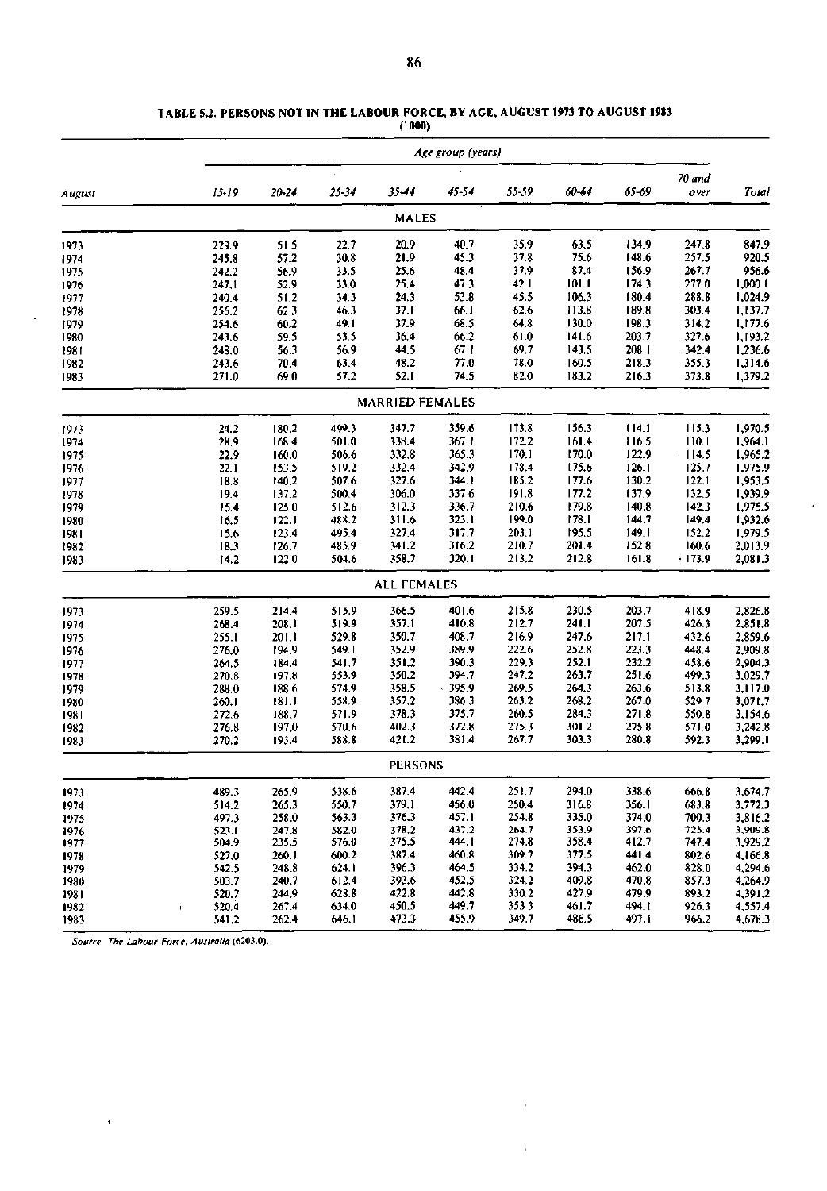|        | Age group (years)     |       |       |                        |       |       |       |        |          |         |  |
|--------|-----------------------|-------|-------|------------------------|-------|-------|-------|--------|----------|---------|--|
|        |                       |       |       |                        |       |       |       |        | 70 and   |         |  |
| August | $15 - 19$             | 20-24 | 25-34 | 35-44                  | 45-54 | 55-59 | 60-64 | 65-69  | over     | Total   |  |
|        |                       |       |       | <b>MALES</b>           |       |       |       |        |          |         |  |
| 1973   | 229.9                 | 515   | 22.7  | 20.9                   | 40.7  | 35.9  | 63.5  | 134.9  | 247.8    | 847.9   |  |
| 1974   | 245.8                 | 57.2  | 30.8  | 21.9                   | 45.3  | 37.8  | 75.6  | 148.6  | 257.5    | 920.5   |  |
| 1975   | 242.2                 | 56.9  | 33.5  | 25.6                   | 48.4  | 37.9  | 87.4  | 156.9  | 267.7    | 956.6   |  |
| 1976   | 247,1                 | 52,9  | 33.0  | 25.4                   | 47.3  | 42.1  | 101.1 | 174.3  | 277.0    | 1,000.1 |  |
| 1977   | 240.4                 | 51.2  | 34.3  | 24.3                   | 53.8  | 45.5  | 106.3 | 180.4  | 288.8    | 1,024.9 |  |
| 1978   | 256.2                 | 62.3  | 46.3  | 37.1                   | 66.1  | 62.6  | 113.8 | 189.8  | 303.4    | 1,137.7 |  |
| 1979   | 254.6                 | 60.2  | 49.1  | 37.9                   | 68.5  | 64.8  | 130.0 | 198.3  | 314.2    | 1,177.6 |  |
| 1980   | 243.6                 | 59.5  | 53.5  | 36.4                   | 66.2  | 61.0  | 141.6 | 203.7  | 327.6    | 1,193.2 |  |
| 1981   | 248.0                 | 56.3  | 56.9  | 44.5                   | 67.1  | 69.7  | 143.5 | 208.1  | 342.4    | 1,236.6 |  |
| 1982   | 243.6                 | 70.4  | 63.4  | 48.2                   | 77.0  | 78.0  | 160.5 | 218.3  | 355.3    | 1,314.6 |  |
| 1983   | 271.0                 | 69.0  | 57.2  | 52.1                   | 74.5  | 82.0  | 183.2 | 216.3  | 373.8    | 1,379.2 |  |
|        |                       |       |       | <b>MARRIED FEMALES</b> |       |       |       |        |          |         |  |
| 1973   | 24.2                  | 180.2 | 499.3 | 347.7                  | 359.6 | 173.8 | 156.3 | 114.1  | 115.3    | 1,970.5 |  |
| 1974   | 28,9                  | 1684  | 501.0 | 338.4                  | 367.1 | 172.2 | 161.4 | 116.5  | 110.1    | 1,964.1 |  |
| 1975   | 22.9                  | 160.0 | 506.6 | 332.8                  | 365.3 | 170.1 | 170.0 | 122.9  | $-114.5$ | 1,965.2 |  |
| 1976   | 22.1                  | 153.5 | 519.2 | 332.4                  | 342.9 | 178.4 | 175.6 | 126.1  | 125.7    | 1,975.9 |  |
| 1977   | 18.8                  | 140.2 | 507.6 | 327.6                  | 344.1 | 185.2 | 177.6 | 130.2  | 122.1    | 1,953.5 |  |
| 1978   | 19.4                  | 137.2 | 500,4 | 306.0                  | 3376  | 191.8 | 177.2 | 137.9  | 132.5    | 1,939.9 |  |
| 1979   | 15.4                  | 1250  | 512.6 | 312.3                  | 336.7 | 210.6 | 179.8 | 140.8  | 142.3    | 1,975.5 |  |
| 1980   | 16.5                  | 122.1 | 488.2 | 311.6                  | 323.1 | 199.0 | 178.1 | 144.7  | 149.4    | 1,932.6 |  |
| 1981   | 15.6                  | 123.4 | 495.4 | 327.4                  | 317.7 | 203.1 | 195.5 | 149.1  | 152.2    | 1,979.5 |  |
| 1982   | 18.3                  | 126.7 | 485.9 | 341.2                  | 316.2 | 210.7 | 201.4 | 152.8  | 160.6    | 2,013.9 |  |
| 1983   | 14.2                  | 1220  | 504.6 | 358.7                  | 320.1 | 213.2 | 212.8 | 161.8  | $-173.9$ | 2,081.3 |  |
|        |                       |       |       | <b>ALL FEMALES</b>     |       |       |       |        |          |         |  |
| 1973   | 259.5                 | 214.4 | 515.9 | 366.5                  | 401.6 | 215.8 | 230.5 | 203.7  | 418.9    | 2,826.8 |  |
| 1974   | 268.4                 | 208.1 | 519.9 | 357.1                  | 410.8 | 212.7 | 241.1 | 207.5  | 426.3    | 2,851.8 |  |
| 1975   | 255.1                 | 201.1 | 529.8 | 350.7                  | 408.7 | 216.9 | 247.6 | 217.1  | 432.6    | 2,859.6 |  |
| 1976   | 276.0                 | 194.9 | 549.1 | 352.9                  | 389.9 | 222.6 | 252.8 | 223,3  | 448.4    | 2,909.8 |  |
| 1977   | 264.5                 | 184.4 | 541.7 | 351.2                  | 390.3 | 229.3 | 252.1 | 232.2  | 458.6    | 2,904.3 |  |
| 1978   | 270.8                 | 197.8 | 553.9 | 350.2                  | 394.7 | 247.2 | 263.7 | 251.6  | 499.3    | 3,029.7 |  |
| 1979   | 288.0                 | 1886  | 574.9 | 358.5                  | 395.9 | 269.5 | 264.3 | 263.6  | 513.8    | 3,117.0 |  |
| 1980   | 260.1                 | 181.I | 558.9 | 357.2                  | 3863  | 263.2 | 268.2 | 267.0  | 5297     | 3,071.7 |  |
| 1981   | 272.6                 | 188.7 | 571.9 | 378.3                  | 375.7 | 260.5 | 284.3 | 271.8  | 550.8    | 3,154.6 |  |
| 1982   | 276.8                 | 197.0 | 570.6 | 402.3                  | 372.8 | 275.3 | 3012  | 275.8  | 571.0    | 3,242.8 |  |
| 1983   | 270.2                 | 193.4 | 588.8 | 421.2                  | 381.4 | 267.7 | 303.3 | 280.8  | 592.3    | 3,299.1 |  |
|        |                       |       |       | <b>PERSONS</b>         |       |       |       |        |          |         |  |
| 1973   | 489.3                 | 265.9 | 538.6 | 387.4                  | 442.4 | 251.7 | 294.0 | 338.6  | 666.8    | 3,674.7 |  |
| 1974   | 514.2                 | 265.3 | 550.7 | 379.1                  | 456.0 | 250.4 | 316.8 | 356. I | 683.8    | 3,772.3 |  |
| 1975   | 497.3                 | 258.0 | 563.3 | 376.3                  | 457.1 | 254.8 | 335.0 | 374,0  | 700.3    | 3,816.2 |  |
| 1976   | 523.1                 | 247.8 | 582.0 | 378.2                  | 437.2 | 264.7 | 353.9 | 397.6  | 725.4    | 3,909.8 |  |
| 1977   | 504.9                 | 235.5 | 576.0 | 375.5                  | 444.1 | 274.8 | 358.4 | 412.7  | 747.4    | 3,929.2 |  |
| 1978   | 527.0                 | 260.1 | 600.2 | 387.4                  | 460.8 | 309.7 | 377.5 | 441.4  | 802.6    | 4,166.8 |  |
| 1979   | 542.5                 | 248.8 | 624.1 | 396.3                  | 464.5 | 334.2 | 394.3 | 462.0  | 828,0    | 4,294.6 |  |
| 1980   | 503.7                 | 240.7 | 612.4 | 393.6                  | 452.5 | 324.2 | 409.8 | 470.8  | 857.3    | 4,264.9 |  |
| 1981   | 520.7                 | 244.9 | 628.8 | 422.8                  | 442.8 | 330.2 | 427.9 | 479.9  | 893.2    | 4,391.2 |  |
| 1982   | 520.4<br>$\mathbf{I}$ | 267.4 | 634.0 | 450.5                  | 449.7 | 3533  | 461.7 | 494. I | 926.3    | 4,557.4 |  |
| 1983   | 541.2                 | 262.4 | 646.1 | 473.3                  | 455.9 | 349.7 | 486.5 | 497. i | 966.2    | 4,678.3 |  |

Î,

 $\bullet$ 

**TABLE 5.2. PERSONS NOT IN THE LABOUR FORCE, BY AGE, AUGUST 1973 TO AUGUST 1983 (' 000)** 

*Source The Labour Fane, Australia* (6203.0).

 $\hat{\mathbf{v}}$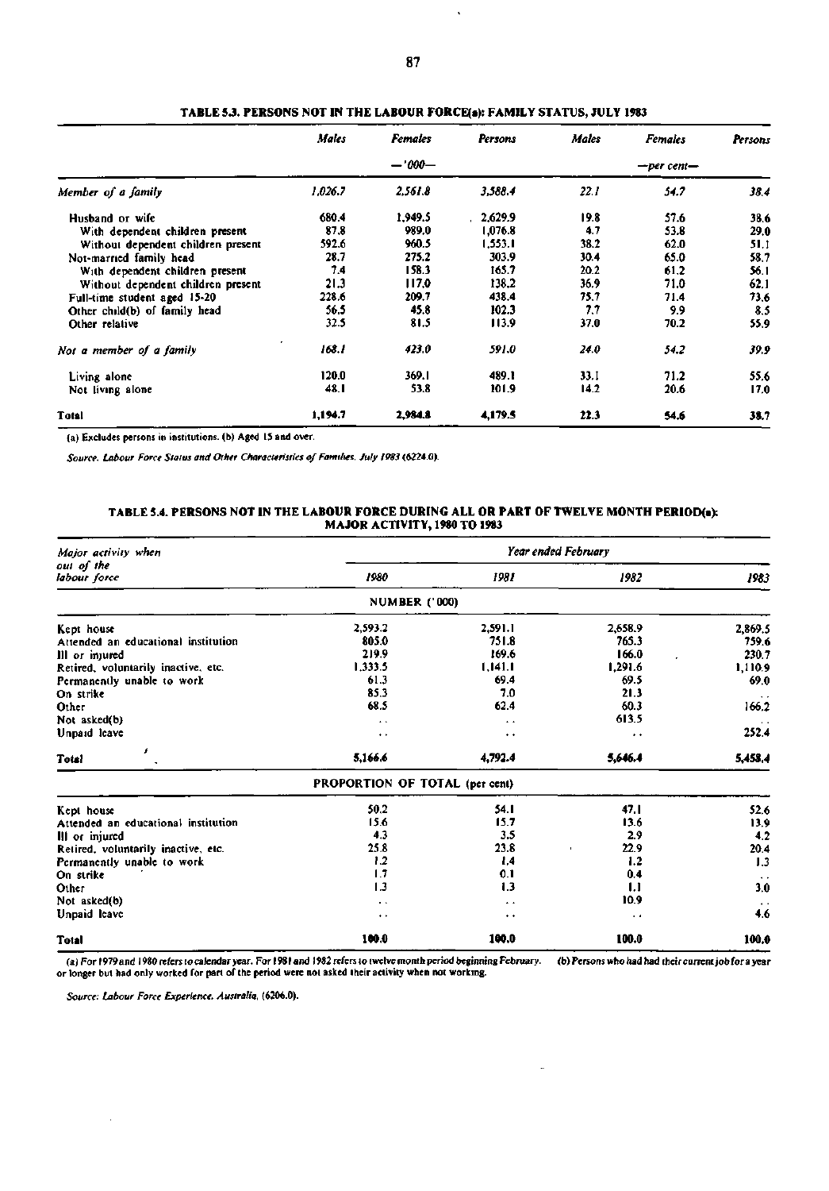|                                    | <b>Males</b> | <b>Females</b> | Persons | Males            | <b>Females</b> | Persons |  |
|------------------------------------|--------------|----------------|---------|------------------|----------------|---------|--|
|                                    |              | $-1000-$       |         | $-$ per cent $-$ |                |         |  |
| Member of a family                 | 1,026.7      | 2,561.8        | 3,588.4 | 22.1             | 54.7           | 38.4    |  |
| Husband or wife                    | 680.4        | 1.949.5        | 2,629.9 | 19.8             | 57.6           | 38.6    |  |
| With dependent children present    | 87.8         | 989.0          | 1,076.8 | 4.7              | 53.8           | 29.0    |  |
| Without dependent children present | 592.6        | 960.5          | 1,553.1 | 38.2             | 62.0           | 51.1    |  |
| Not-married family head            | 28.7         | 275.2          | 303.9   | 30.4             | 65.0           | 58.7    |  |
| With dependent children present    | 7.4          | 158.3          | 165.7   | 20.2             | 61,2           | 56.1    |  |
| Without dependent children present | 21.3         | 117.0          | 138.2   | 36.9             | 71.0           | 62.1    |  |
| Full-time student aged 15-20       | 228.6        | 209.7          | 438.4   | 75.7             | 71.4           | 73.6    |  |
| Other child(b) of family head      | 56.5         | 45.8           | 102.3   | 7.7              | 9.9            | 8.5     |  |
| Other relative                     | 32.5         | 81.5           | 113.9   | 37.0             | 70.2           | 55.9    |  |
| Not a member of a family           | 168.1        | 423.0          | 591.0   | 24.0             | 54.2           | 39.9    |  |
| Living alone                       | 120.0        | 369.1          | 489.1   | 33.I             | 71.2           | 55.6    |  |
| Not living alone                   | 48.I         | 53.8           | 101.9   | 14.2             | 20.6           | 17.0    |  |
| Total                              | 1,194.7      | 2,984.8        | 4,179.5 | 22.3             | 54.6           | 38.7    |  |

TABLE 5.3. PERSONS NOT IN THE LABOUR FORCE(s): FAMILY STATUS, JULY 1983

(a) Excludes persons in institutions, (b) Aged 15 and over.

*Source. Labour Force Status and Other Characteristics of Families. July 1983* **(6224.0).** 

### **TABLE 5.4. PERSONS NOT IN THE LABOUR FORCE DURING ALL OR PART OF TWELVE MONTH PERIOD(a): MAJOR ACTIVITY, 1980 TO 1983**

| Major activity when                 | Year ended February            |                      |                      |                      |  |  |  |  |  |
|-------------------------------------|--------------------------------|----------------------|----------------------|----------------------|--|--|--|--|--|
| out of the<br>labour force          | 1980                           | 1981                 | 1982                 | 1983                 |  |  |  |  |  |
|                                     | <b>NUMBER ('000)</b>           |                      |                      |                      |  |  |  |  |  |
| Kept house                          | 2.593.2                        | 2,591.1              | 2,658.9              | 2,869.5              |  |  |  |  |  |
| Attended an educational institution | 805.0                          | 751.8                | 765.3                | 759.6                |  |  |  |  |  |
| Ill or injured                      | 219.9                          | 169.6                | 166.0                | 230.7                |  |  |  |  |  |
| Retired, voluntarily inactive, etc. | 1,333.5                        | 1,141.1              | 1.291.6              | 1,110.9              |  |  |  |  |  |
| Permanently unable to work          | 61.3                           | 69.4                 | 69.5                 | 69.0                 |  |  |  |  |  |
| On strike                           | 85.3                           | 7.0                  | 21.3                 | $\bullet$ $\bullet$  |  |  |  |  |  |
| Other                               | 68.5                           | 62.4                 | 60.3                 | 166.2                |  |  |  |  |  |
| Not asked(b)                        | $\ddot{\phantom{1}}$           | $\ddot{\phantom{1}}$ | 613.5                |                      |  |  |  |  |  |
| Unpaid leave                        | $\ddot{\phantom{1}}$           | $\ddot{\phantom{1}}$ | $\bullet$            | 252.4                |  |  |  |  |  |
| s<br><b>Total</b>                   | 5,166.6                        | 4,792.4              | 5,646.4              | 5,458.4              |  |  |  |  |  |
|                                     | PROPORTION OF TOTAL (per cent) |                      |                      |                      |  |  |  |  |  |
| Kept house                          | 50.2                           | 54.1                 | 47.1                 | 52.6                 |  |  |  |  |  |
| Attended an educational institution | 15.6                           | 15.7                 | 13.6                 | 13,9                 |  |  |  |  |  |
| III or injured                      | 4.3                            | 3.5                  | 2.9                  | 4.2                  |  |  |  |  |  |
| Retired, voluntarily inactive, etc. | 25.8                           | 23.8                 | 22.9                 | 20.4                 |  |  |  |  |  |
| Permanently unable to work          | 1.2                            | 1,4                  | 1.2                  | 1.3                  |  |  |  |  |  |
| On strike                           | 1.7                            | 0.1                  | 0.4                  | $\ddot{\phantom{1}}$ |  |  |  |  |  |
| Other                               | 1.3                            | 1.3                  | 1.1                  | 3.0                  |  |  |  |  |  |
| Not asked(b)                        | $\cdot$                        | $\ddot{\phantom{1}}$ | 10.9                 |                      |  |  |  |  |  |
| Unpaid leave                        | $\ddot{\phantom{1}}$           | $\ddot{\phantom{1}}$ | $\ddot{\phantom{1}}$ | 4.6                  |  |  |  |  |  |
| <b>Total</b>                        | 100.0                          | 100.0                | 100.0                | 100.0                |  |  |  |  |  |

(a) For 1979 and 1980 refers to calendar year. For 1981 and 1982 refers to twelve month period beginning February, (a) For 1979 and 1980 refers to calendar year. For 1981 and 1982 refers to twelve month period beginning February. (b) Persons who had had their current job for a year or longer but had only worked for part of the period w

 $\overline{a}$ 

*Source: Labour Force Experience. Australia,* **(6206.0).**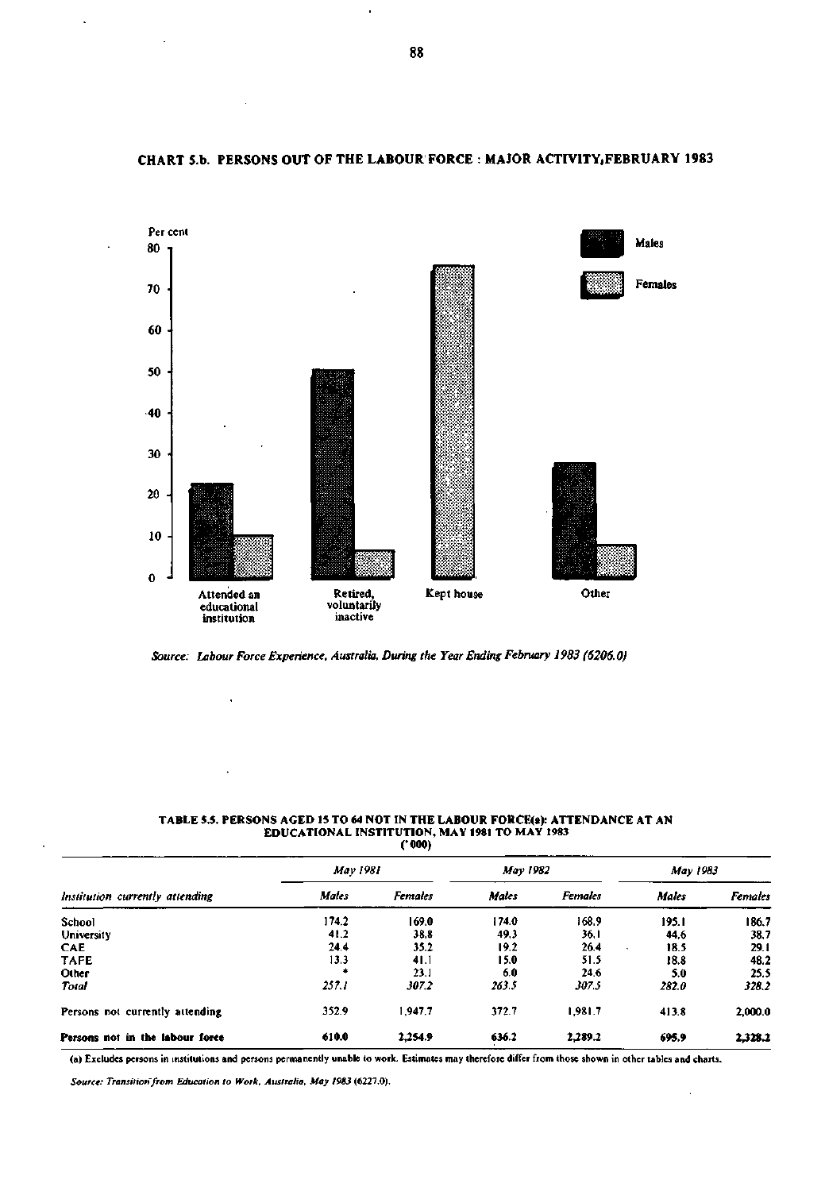

## **CHART 5.b. PERSONS OUT OF THE LABOUR FORCE : MAJOR ACTIVITY.FEBRUARY 1983**

*Source: Labour Force Experience, Australia, During the Year Ending February 1983 (6206.0)* 

#### TABLE 5.5. PERSONS AGED 15 TO 64 NOT IN THE LABOUR FORCE(a): ATTENDANCE AT AN EDUCATIONAL INSTITUTION, MAY 1981 TO MAY 1983 ('000)

|                                 | May 1981 |         | May 1982 |                | May 1983     |                |
|---------------------------------|----------|---------|----------|----------------|--------------|----------------|
| Institution currently attending | Males    | Females | Males    | <b>Females</b> | <b>Males</b> | <b>Females</b> |
| School                          | 174.2    | 169.0   | 174.0    | 168.9          | 195.1        | 186.7          |
| University                      | 41.2     | 38.8    | 49.3     | 36.1           | 44.6         | 38.7           |
| <b>CAE</b>                      | 24.4     | 35.2    | 19.2     | 26.4           | 18.5         | 29.1           |
| <b>TAFE</b>                     | 13.3     | 41.1    | 15.0     | 51.5           | 18.8         | 48.2           |
| Other                           |          | 23.1    | 6.0      | 24.6           | 5.0          | 25.5           |
| Total                           | 257.1    | 307.2   | 263.5    | 307.5          | 282.0        | 328.2          |
| Persons not currently attending | 352.9    | 1,947.7 | 372.7    | 1,981.7        | 413.8        | 2,000.0        |
| Persons not in the labour force | 610.0    | 2.254.9 | 636.2    | 2,289.2        | 695.9        | 2,328.2        |

(a) Excludes persons in institutions and persons permanently unable to work. Estimates may therefore differ from those shown in other tables and charts.

 $\bar{z}$ 

*Source: Transition from Education to Work, Australia. May 1983* **(6227.0).** 

 $\bar{\phantom{a}}$ 

 $\ddot{\phantom{1}}$ 

à.

 $\ddot{\phantom{a}}$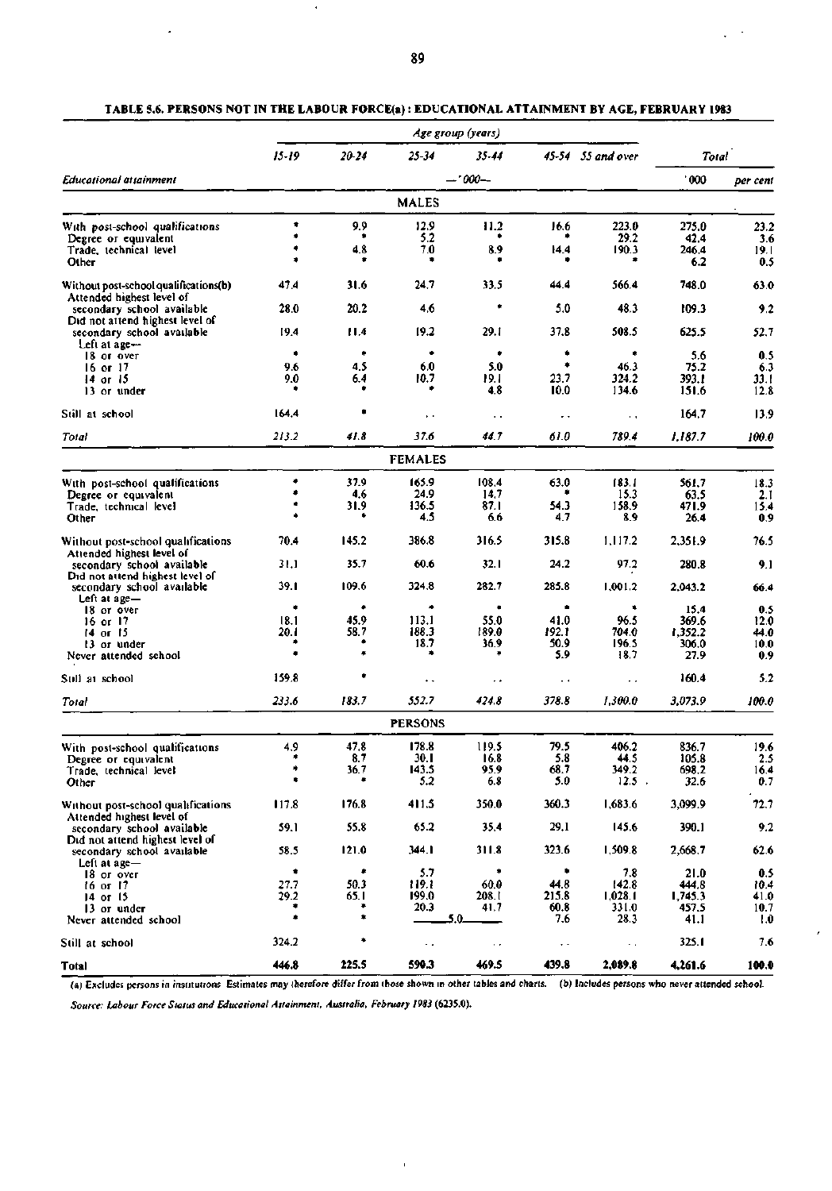|                                                                    |              |               |                | Age group (years)      |                      |                       |                  |              |
|--------------------------------------------------------------------|--------------|---------------|----------------|------------------------|----------------------|-----------------------|------------------|--------------|
|                                                                    | 15-19        | 20-24         | 25-34          | 35-44                  |                      | $45-54$ $55$ and over | Total            |              |
| Educational attainment                                             |              |               |                | -- 000--               |                      |                       | 000'             | per cent     |
|                                                                    |              |               | <b>MALES</b>   |                        |                      |                       |                  |              |
| With post-school qualifications                                    | ۰            | 9.9           | 12.9           | 11.2                   | 16.6                 | 223.0                 | 275.0            | 23.2         |
| Degree or equivalent                                               | ۰            | ٠             | 5.2            |                        |                      | 29.2                  | 42.4             | 3.6          |
| Trade, technical level                                             |              | 4.8           | 7.0            | 8.9                    | 14.4                 | 190.3                 | 246.4            | 19.1         |
| Other                                                              |              |               |                |                        |                      |                       | 6.2              | 0.5          |
| Without post-school qualifications(b)<br>Attended highest level of | 47.4         | 31.6          | 24.7           | 33.5                   | 44.4                 | 566.4                 | 748.0            | 63.0         |
| secondary school available<br>Did not attend highest level of      | 28.0         | 20.2          | 4.6            | ٠                      | 5.0                  | 48.3                  | 109.3            | 9.2          |
| secondary school available                                         | 19.4         | 11.4          | 19.2           | 29.1                   | 37.8                 | 508.5                 | 625.5            | 52.7         |
| Left at age-                                                       | ٠            | ۰             | ۰              | ۰                      | ۰                    | ۰                     |                  |              |
| 18 or over                                                         | 9.6          | 4.5           | 6.0            | 5.0                    | ۰                    | 46.3                  | 5.6              | 0.5          |
| $16$ or $17$                                                       | 9.0          | 6.4           | 10.7           | 19. L                  | 23.7                 | 324.2                 | 75.2<br>393.1    | 6.3<br>33.1  |
| 14 or 15<br>13 or under                                            | ۰            |               |                | 4.8                    | 10.0                 | 134.6                 | 151.6            | 12.8         |
|                                                                    |              |               |                |                        |                      |                       |                  |              |
| Still at school                                                    | 164.4        |               | ρ.             | $\ddot{\phantom{1}}$ . | . .                  | $\sim$ $\sim$         | 164.7            | 13.9         |
| Total                                                              | 213.2        | 41.8          | 37.6           | 44.7                   | 61.0                 | 789.4                 | 1.187.7          | 100.0        |
|                                                                    |              |               | <b>FEMALES</b> |                        |                      |                       |                  |              |
| With post-school qualifications                                    | ۰            | 37.9          | 165.9          | 108.4                  | 63.0                 | 183.1                 | 561,7            | 18.3         |
| Degree or equivalent                                               | ۰            | 4.6           | 24.9           | 14.7                   |                      | 15.3                  | 63.5             | 2.1          |
| Trade, technical level                                             | ۰            | 31.9          | 136.5          | 87.1                   | 54.3                 | 158.9                 | 471.9            | 15.4         |
| Other                                                              |              |               | 4.5            | 6.6                    | 4.7                  | 8.9                   | 26.4             | 0.9          |
|                                                                    |              |               |                |                        |                      |                       |                  |              |
| Without post-school qualifications<br>Attended highest level of    | 70.4         | 145.2         | 386.8          | 316.5                  | 315.8                | 1,117.2               | 2,351.9          | 76.5         |
| secondary school available<br>Did not attend highest level of      | 31.1         | 35.7          | 60.6           | 32.1                   | 24.2                 | 97.2                  | 280.8            | 9.1          |
| secondary school available<br>Left at age-                         | 39.1         | 109.6         | 324.8          | 282.7                  | 285.8                | 1,001.2               | 2,043.2          | 66.4         |
| 18 or over                                                         | ۰            | ۰             | ٠              | ٠                      | ٠                    | ٠                     | 15.4             | 0.5          |
| 16 or 17                                                           | 18.1         | 45.9          | 113.1          | 55.0                   | 41.0                 | 96.5                  | 369.6            | 12.0         |
| 14 or 15                                                           | 20. I        | 58.7          | 188.3          | 189.0                  | 192.1                | 704.0                 | 1,352.2          | 44.0         |
| 13 or under                                                        |              |               | 18.7           | 36.9                   | 50.9                 | 196.5                 | 306.0            | 10.0         |
| Never attended school                                              |              | ۰             |                |                        | 5.9                  | 18.7                  | 27.9             | 0.9          |
| Still at school                                                    | 159.8        |               | . .            | . .                    | $\sim$ $\sim$        | ٠.                    | 160.4            | 5.2          |
| Total                                                              | 233.6        | 183.7         | 552.7          | 424.8                  | 378.8                | 1,300.0               | 3,073.9          | 100.0        |
|                                                                    |              |               | <b>PERSONS</b> |                        |                      |                       |                  |              |
| With post-school qualifications                                    | 4.9          | 47.8          | 178.8          | 119.5                  | 79.5                 | 406.2                 | 836.7            | 19.6         |
| Degree or equivalent                                               | ۰            | 8.7           | 30. I          | 16.8                   | 5.8                  | 44.5                  | 105.8            | 2.5          |
| Trade, technical level                                             |              | 36.7          | 143.5          | 95.9                   | 68.7                 | 349.2                 | 698.2            | 16.4         |
| Other                                                              | ۰            | ۰             | 5.2            | 6.8                    | 5.0                  | $12.5$ .              | 32.6             | 0.7          |
| Without post-school qualifications<br>Attended highest level of    | 117.8        | 176.8         | 411.5          | 350.0                  | 360.3                | 1,683.6               | 3,099.9          | 72.7         |
| secondary school available                                         | 59.1         | 55.8          | 65.2           | 35.4                   | 29.1                 | 145.6                 | 390.1            | 9.2          |
| Did not attend highest level of                                    |              | 121.0         | 344. I         | 311.8                  | 323.6                | 1.509.8               |                  |              |
| secondary school available<br>Left at age-                         | 58.5         |               |                |                        | ۰                    |                       | 2,668.7          | 62.6         |
| 18 or over                                                         | ۰            | ۰             | 5.7            | ٠                      | 44.8                 | 7.8                   | 21.0             | 0.5          |
| 16 or 17                                                           | 27.7<br>29.2 | 50.3<br>65. I | 119.1<br>199.0 | 60.0<br>208.I          | 215.8                | 142.8<br>1,028.1      | 444.8<br>1.745.3 | 10.4<br>41.0 |
| $14$ or 15<br>13 or under                                          | ۰            | ٠             | 20.3           | 41.7                   | 60.8                 | 331.0                 | 457.5            | 10.7         |
| Never attended school                                              | ۰            | *             |                | 5.0.                   | 7.6                  | 28.3                  | 41.1             | 1.0          |
| Still at school                                                    | 324.2        | ۰             | $\sim$         | $\epsilon$ .           | $\ddot{\phantom{1}}$ | $\sim$                | 325.1            | 7.6          |
| Total                                                              | 446.8        | 225.5         | 590.3          | 469.5                  | 439.8                | 2,089.8               | 4,261.6          | 100.0        |

**TABLE 5.6. PERSONS NOT IN THE LABOUR FORCE(a): EDUCATIONAL ATTAINMENT BY AGE, FEBRUARY 1983** 

(a) Excludes persons in institutions Estimates may therefore differ from those shown in other tables and charts. (b) Includes persons who never attended school.

 $\mathbf{r}$ 

ł

*Source: Labour Force Status and Educational Atlainmenl, Australia, February 1983* **(6235.0).**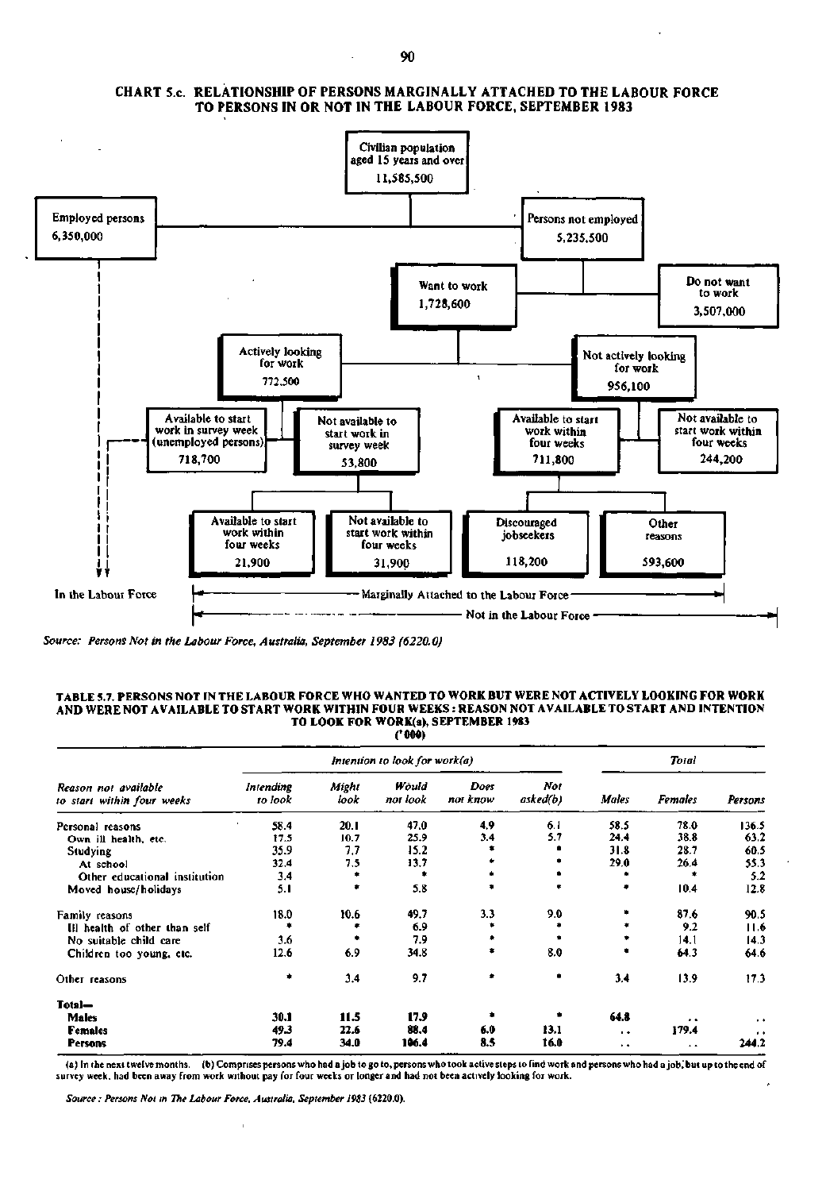

### **CHART S.c. RELATIONSHIP OF PERSONS MARGINALLY ATTACHED TO THE LABOUR FORCE TO PERSONS IN OR NOT IN THE LABOUR FORCE, SEPTEMBER 1983**

*Source: Persons Not in the Labour Force, Australia, September 1983 (6220.0)* 

### **TABLE 5.7. PERSONS NOT IN THE LABOUR FORCE WHO WANTED TO WORK BUT WERE NOT ACTIVELY LOOKING FOR WORK AND WERE NOT AVAILABLE TO START WORK WITHIN FOUR WEEKS : REASON NOT AVAILABLE TO START AND INTENTION TO LOOK FOR WORK(a), SEPTEMBER 1983 ('000)**

*Intention to look for work(a) Total Reason not available Intending Might Would Does Not to start within four weeks to look look not look not know asked(b) Males Females Persons*  Personal reasons 58.4 20.1 47.0 4.9 6.1 58.5 78.0 136.5 136.5<br>
9.1 11.5 10.7 25.9 3.4 5.7 24.4 38.8 63.2 **Own ill health, etc.** 17.5 10.7 25.9 3.4 5.7 24.4 38.8 63.2<br> **Studying** 35.9 7.7 15.2 **\* \*** 31.8 28.7 60.5 Studying 35.9 7.7 15.2 **\* \* 31.8 28.7 60.5** At school 32.4 7.5 13.7 **\* \*** 29.0 26.4 55.3 Other educational institution 3.4 **\*** \* \* \* \* \* \* \* 5.2<br>loved house/holidays 5.1 \* 5.8 \* \* \* 10.4 12.8 Moved house/holidays 5.1 **\*** 5.8 **\* \* \*** 10.4 12.8 Family reasons 18.0 10.6 49.7 3.3 9.0 **\*** 87.6 90.5 111 health of other than self **\*** \* 6.9 **\*** \* \* 9.2 11.6<br>No suitable child care **3.6** \* 7.9 \* \* \* 14.1 14.3 No suitable child care **3.6 \*** 7.9 **\* \* \*** 14.1 14.3<br>Children too young, etc. 12.6 6.9 34.8 **\*** 8.0 **\*** 64.3 64.6 Children too young, etc. Other reasons **•** 3.4 9.7 **• \*** 3.4 13.9 17.3 **Total-Males 30.1 11.5 17.9 • \* 64.8 , , , . Females 19.3 49.3 22.6 88.4 6.0 13.1 . 179.4** . **Persons 79.4 34.0 106.4 8.5 16.0 •• 244.2** 

(a) In the next twelve months, (b) Comprises persons who had a job to go to, persons who took active steps to find work and persons who had a job,' but up to the end of survey week, had been away from work without pay for four weeks or longer and had not been actively looking for work.

*Source: Persons Not m The Labour Force, Australia, September I9S3* **(6220.0).**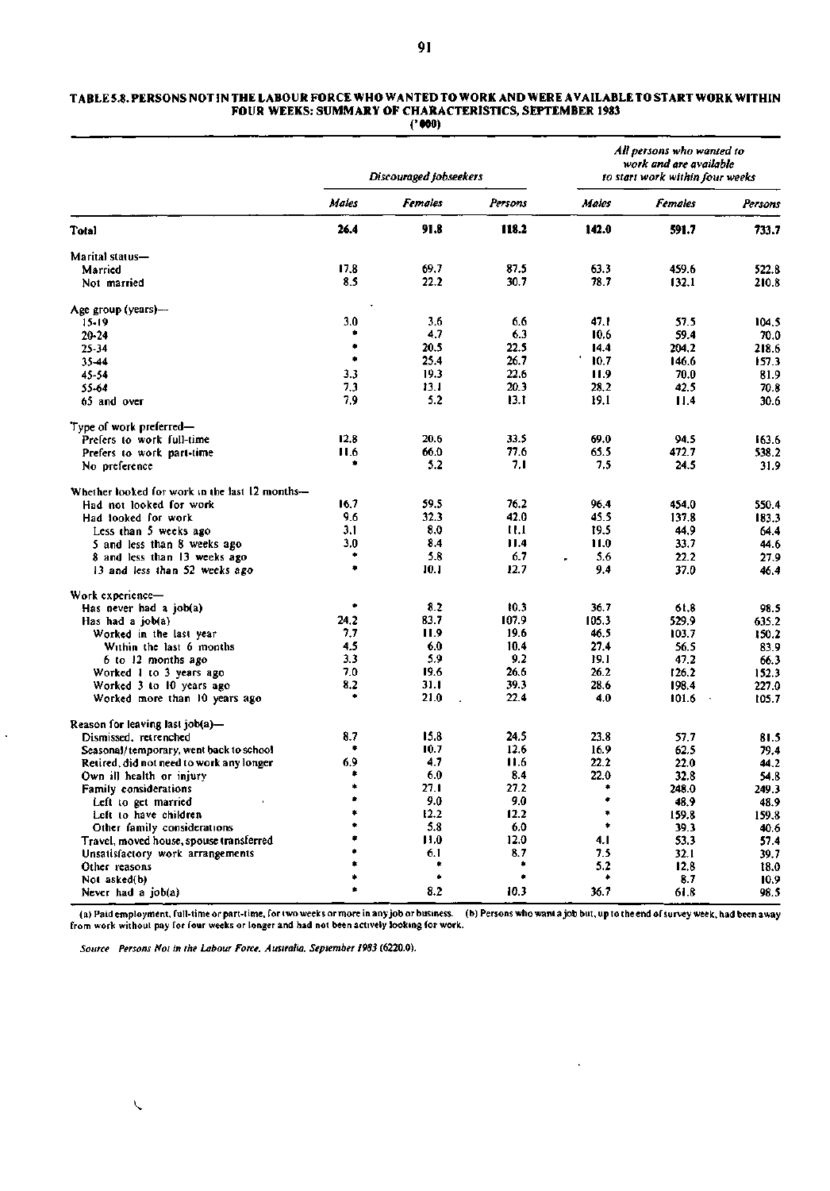#### **TABLE 5.8. PERSONS NOT IN THE LABOUR FORCE WHO WANTED TO WORK AND WERE AVAILABLE TO START WORK WITHIN FOUR WEEKS: SUMMARY OF CHARACTERISTICS, SEPTEMBER 1983 ('000)**

|                                                | Discouraged jobseekers |                |         | All persons who wanted to<br>work and are available<br>to start work within four weeks |                |         |  |
|------------------------------------------------|------------------------|----------------|---------|----------------------------------------------------------------------------------------|----------------|---------|--|
|                                                | Males                  | <b>Females</b> | Persons | Males                                                                                  | <b>Females</b> | Persons |  |
| Total                                          | 26.4                   | 91.8           | 118.2   | 142.0                                                                                  | 591.7          | 733.7   |  |
| Marital status-                                |                        |                |         |                                                                                        |                |         |  |
| Married                                        | 17.8                   | 69.7           | 87.5    | 63.3                                                                                   | 459.6          | 522.8   |  |
| Not married                                    | 8.5                    | 22.2           | 30.7    | 78.7                                                                                   | 132.1          | 210.8   |  |
| Age group (years)-                             |                        |                |         |                                                                                        |                |         |  |
| 15-19                                          | 3.0                    | 3.6            | 6.6     | 47.1                                                                                   | 57.5           | 104.5   |  |
| 20-24                                          |                        | 4.7            | 6.3     | 10.6                                                                                   | 59.4           | 70.0    |  |
| 25-34                                          | ۰                      | 20.5           | 22.5    | 14.4                                                                                   | 204.2          | 218.6   |  |
| 35-44                                          | ٠                      | 25.4           | 26.7    | 10.7                                                                                   | 146.6          | 157.3   |  |
| 45-54                                          | 3.3                    | 19.3           | 22.6    | 11.9                                                                                   | 70.0           | 81.9    |  |
| 55-64                                          | 7.3                    | 13.1           | 20.3    | 28.2                                                                                   | 42.5           | 70.8    |  |
| 65 and over                                    | 7.9                    | 5.2            | 13.1    | 19.1                                                                                   | 11.4           | 30.6    |  |
| Type of work preferred—                        |                        |                |         |                                                                                        |                |         |  |
| Prefers to work full-time                      | 12.8                   | 20.6           | 33.5    | 69.0                                                                                   | 94.5           | 163.6   |  |
|                                                | 11.6                   | 66.0           | 77.6    | 65.5                                                                                   | 472.7          | 538.2   |  |
| Prefers to work part-time<br>No preference     | ۰                      | 5.2            | 7,1     | 7.5                                                                                    | 24.5           | 31.9    |  |
|                                                |                        |                |         |                                                                                        |                |         |  |
| Whether looked for work in the last 12 months- |                        |                |         |                                                                                        |                |         |  |
| Had not looked for work                        | 16.7                   | 59,5           | 76.2    | 96.4                                                                                   | 454.0          | 550.4   |  |
| Had looked for work                            | 9.6                    | 32.3           | 42.0    | 45.5                                                                                   | 137.8          | 183.3   |  |
| Less than 5 weeks ago                          | 3.1                    | 8.0            | 11.1    | 19.5                                                                                   | 44,9           | 64.4    |  |
| 5 and less than 8 weeks ago                    | 3,0                    | 8.4            | 11.4    | 11.0                                                                                   | 33.7           | 44.6    |  |
| 8 and less than 13 weeks ago                   | ۰                      | 5.8            | 6.7     | 5.6                                                                                    | 22.2           | 27.9    |  |
| 13 and less than 52 weeks ago                  | ٠                      | 10.1           | 12.7    | 9,4                                                                                    | 37.0           | 46.4    |  |
| Work experience-                               |                        |                |         |                                                                                        |                |         |  |
| Has never had a job(a)                         | ٠                      | 8.2            | 10.3    | 36.7                                                                                   | 61.8           | 98.5    |  |
| Has had a job(a)                               | 24.2                   | 83.7           | 107.9   | 105.3                                                                                  | 529.9          | 635.2   |  |
| Worked in the last year                        | 7.7                    | 11.9           | 19.6    | 46.5                                                                                   | 103.7          | 150.2   |  |
| Within the last 6 months                       | 4.5                    | 6.0            | 10.4    | 27.4                                                                                   | 56.5           | 83.9    |  |
| 6 to 12 months ago                             | 3.3                    | 5.9            | 9.2     | 19.1                                                                                   | 47.2           | 66.3    |  |
| Worked 1 to 3 years ago                        | 7.0                    | 19.6           | 26.6    | 26.2                                                                                   | 126.2          | 152.3   |  |
| Worked 3 to 10 years ago                       | 8.2                    | 31.1           | 39.3    | 28.6                                                                                   | 198.4          | 227.0   |  |
| Worked more than 10 years ago                  | ۰                      | 21.0           | 22.4    | 4.0                                                                                    | 101.6          | 105.7   |  |
| Reason for leaving last job(a)-                |                        |                |         |                                                                                        |                |         |  |
| Dismissed, retrenched                          | 8.7                    | 15.8           | 24.5    | 23.8                                                                                   | 57.7           | 81.5    |  |
| Seasonal/temporary, went back to school        | ۰                      | 10.7           | 12.6    | 16.9                                                                                   | 62.5           | 79.4    |  |
| Retired, did not need to work any longer       | 6.9                    | 4.7            | 11.6    | 22.2                                                                                   | 22.0           | 44.2    |  |
| Own ill health or injury                       |                        | 6.0            | 8.4     | 22.0                                                                                   | 32.8           | 54.8    |  |
| Family considerations                          | ۰                      | 27.1           | 27.2    |                                                                                        | 248.0          | 249.3   |  |
| Left to get married                            | ٠                      | 9.0            | 9.0     |                                                                                        | 48.9           | 48.9    |  |
| Left to have children                          | ۰                      | 12.2           | 12.2    |                                                                                        | 159.8          | 159.8   |  |
| Other family considerations                    | ٠                      | 5.8            | 6.0     | ۰                                                                                      | 39.3           | 40.6    |  |
| Travel, moved house, spouse transferred        | ٠                      | 11.0           | 12.0    | 4.1                                                                                    | 53.3           | 57.4    |  |
| Unsatisfactory work arrangements               |                        | 6.1            | 8.7     | 7.5                                                                                    | 32.1           | 39.7    |  |
| Other reasons                                  | ۰                      | ٠              | ۰       | 5.2                                                                                    | 12.8           | 18.0    |  |
| Not asked(b)                                   | ۰                      | ٠              | ٠       | ۰                                                                                      | 8.7            | 10.9    |  |
| Never had a job(a)                             | ٠                      | 8.2            | 10.3    | 36.7                                                                                   | 61.8           | 98.5    |  |
|                                                |                        |                |         |                                                                                        |                |         |  |

(a) Paid employment, full-time or part-time, for two weeks or more in any job or business. (b) Persons who want a job but, up to the end of survey week, had been away<br>from work without pay for four weeks or longer and had

 $\ddot{\phantom{a}}$ 

*Source Persons Not in the Labour Force, Australia, September 1983* **(6220.0).**